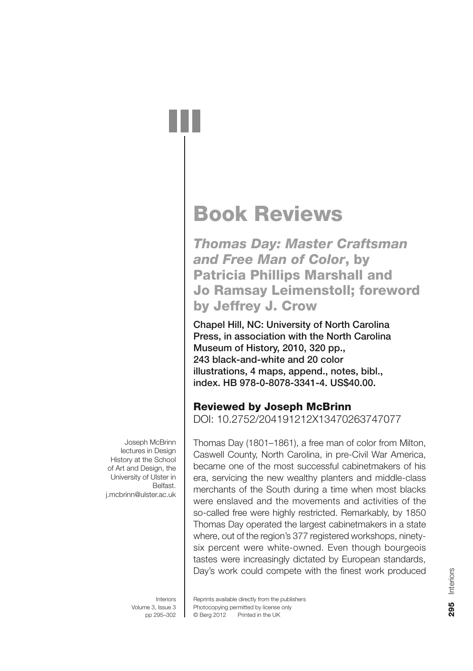# **Book Reviews**

*Thomas Day: Master Craftsman and Free Man of Color***, by Patricia Phillips Marshall and Jo Ramsay Leimenstoll; foreword by Jeffrey J. Crow Example 2013**<br> **Example 2013**<br> **Example 2014**<br> **Example 2014**<br> **Example 2014**<br> **Example 2014**<br> **Example 2014**<br> **Example 2014**<br> **Example 2014**<br> **Example 2014**<br> **Example 2014**<br> **Example 2014**<br> **Example 2014**<br> **Example 2014** 

**Chapel Hill, NC: University of North Carolina Press, in association with the North Carolina Museum of History, 2010, 320 pp., 243 black-and-white and 20 color illustrations, 4 maps, append., notes, bibl., index. HB 978-0-8078-3341-4. US\$40.00.**

### **Reviewed by Joseph McBrinn**

DOI: 10.2752/204191212X13470263747077

Thomas Day (1801–1861), a free man of color from Milton, Caswell County, North Carolina, in pre-Civil War America, became one of the most successful cabinetmakers of his era, servicing the new wealthy planters and middle-class merchants of the South during a time when most blacks were enslaved and the movements and activities of the so-called free were highly restricted. Remarkably, by 1850 Thomas Day operated the largest cabinetmakers in a state where, out of the region's 377 registered workshops, ninetysix percent were white-owned. Even though bourgeois tastes were increasingly dictated by European standards, Day's work could compete with the finest work produced **BOOK Reviews**<br>
Thomas Day: Master Creftsmann<br>
and Free Man of Cofor, by<br>
patricia Phillips Marshall and<br>
Jo Ramsay Leimenston!<br>
by Jeffrey J. Crown<br>
by Jeffrey J. Crown<br>
chapel Hill, NC: University of North Carolina<br>
Pres

> Interiors Volume 3, Issue 3 pp 295–302

Joseph McBrinn lectures in Design History at the School of Art and Design, the University of Ulster in

j.mcbrinn@ulster.ac.uk

Belfast.

Reprints available directly from the publishers Photocopying permitted by license only © Berg 2012 Printed in the UK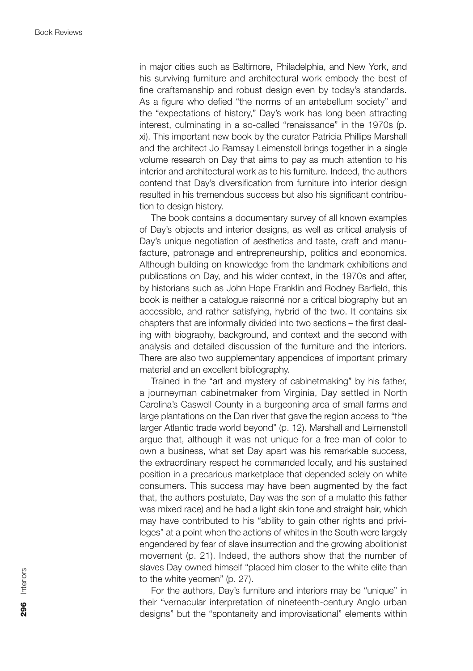in major cities such as Baltimore, Philadelphia, and New York, and his surviving furniture and architectural work embody the best of fine craftsmanship and robust design even by today's standards. As a figure who defied "the norms of an antebellum society" and the "expectations of history," Day's work has long been attracting interest, culminating in a so-called "renaissance" in the 1970s (p. xi). This important new book by the curator Patricia Phillips Marshall and the architect Jo Ramsay Leimenstoll brings together in a single volume research on Day that aims to pay as much attention to his interior and architectural work as to his furniture. Indeed, the authors contend that Day's diversification from furniture into interior design resulted in his tremendous success but also his significant contribution to design history.

The book contains a documentary survey of all known examples of Day's objects and interior designs, as well as critical analysis of Day's unique negotiation of aesthetics and taste, craft and manufacture, patronage and entrepreneurship, politics and economics. Although building on knowledge from the landmark exhibitions and publications on Day, and his wider context, in the 1970s and after, by historians such as John Hope Franklin and Rodney Barfield, this book is neither a catalogue raisonné nor a critical biography but an accessible, and rather satisfying, hybrid of the two. It contains six chapters that are informally divided into two sections – the first dealing with biography, background, and context and the second with analysis and detailed discussion of the furniture and the interiors. There are also two supplementary appendices of important primary material and an excellent bibliography. For all the "art and mystery of candidation of the "art and myster" (ture, patronage and entrepreneurship<br>ough building on knowledge from the blications on Day, and his wider contributions such as John Hope Franklink<br>ok is

Trained in the "art and mystery of cabinetmaking" by his father, a journeyman cabinetmaker from Virginia, Day settled in North Carolina's Caswell County in a burgeoning area of small farms and large plantations on the Dan river that gave the region access to "the larger Atlantic trade world beyond" (p. 12). Marshall and Leimenstoll argue that, although it was not unique for a free man of color to own a business, what set Day apart was his remarkable success, the extraordinary respect he commanded locally, and his sustained position in a precarious marketplace that depended solely on white consumers. This success may have been augmented by the fact that, the authors postulate, Day was the son of a mulatto (his father was mixed race) and he had a light skin tone and straight hair, which may have contributed to his "ability to gain other rights and privileges" at a point when the actions of whites in the South were largely engendered by fear of slave insurrection and the growing abolitionist movement (p. 21). Indeed, the authors show that the number of slaves Day owned himself "placed him closer to the white elite than to the white yeomen" (p. 27). Stephen that they book by the United Christmass that the propose that the matching that the search on the particular that the particular that the search of the search of the search of the search of the search of the search

> For the authors, Day's furniture and interiors may be "unique" in their "vernacular interpretation of nineteenth-century Anglo urban designs" but the "spontaneity and improvisational" elements within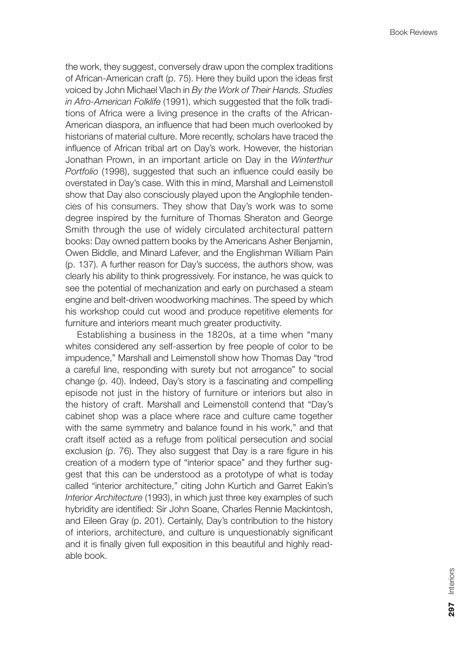the work, they suggest, conversely draw upon the complex traditions of African-American craft (p. 75). Here they build upon the ideas first voiced by John Michael Vlach in *By the Work of Their Hands. Studies in Afro-American Folklife* (1991), which suggested that the folk traditions of Africa were a living presence in the crafts of the African-American diaspora, an influence that had been much overlooked by historians of material culture. More recently, scholars have traced the influence of African tribal art on Day's work. However, the historian Jonathan Prown, in an important article on Day in the *Winterthur Portfolio* (1998), suggested that such an influence could easily be overstated in Day's case. With this in mind, Marshall and Leimenstoll show that Day also consciously played upon the Anglophile tendencies of his consumers. They show that Day's work was to some degree inspired by the furniture of Thomas Sheraton and George Smith through the use of widely circulated architectural pattern books: Day owned pattern books by the Americans Asher Benjamin, Owen Biddle, and Minard Lafever, and the Englishman William Pain (p. 137). A further reason for Day's success, the authors show, was clearly his ability to think progressively. For instance, he was quick to see the potential of mechanization and early on purchased a steam engine and belt-driven woodworking machines. The speed by which his workshop could cut wood and produce repetitive elements for furniture and interiors meant much greater productivity. The University of the Englishman William<br>and Lafever, and the Englishman William Milliam for Day's success, the authors sh<br>nk progressively. For instance, he was<br>echanization and early on purchased<br>a woodworking machines.

Establishing a business in the 1820s, at a time when "many whites considered any self-assertion by free people of color to be impudence," Marshall and Leimenstoll show how Thomas Day "trod a careful line, responding with surety but not arrogance" to social change (p. 40). Indeed, Day's story is a fascinating and compelling episode not just in the history of furniture or interiors but also in the history of craft. Marshall and Leimenstoll contend that "Day's cabinet shop was a place where race and culture came together with the same symmetry and balance found in his work," and that craft itself acted as a refuge from political persecution and social exclusion (p. 76). They also suggest that Day is a rare figure in his creation of a modern type of "interior space" and they further suggest that this can be understood as a prototype of what is today called "interior architecture," citing John Kurtich and Garret Eakin's *Interior Architecture* (1993), in which just three key examples of such hybridity are identified: Sir John Soane, Charles Rennie Mackintosh, and Eileen Gray (p. 201). Certainly, Day's contribution to the history of interiors, architecture, and culture is unquestionably significant and it is finally given full exposition in this beautiful and highly readable book. © BERG PUBLISHERS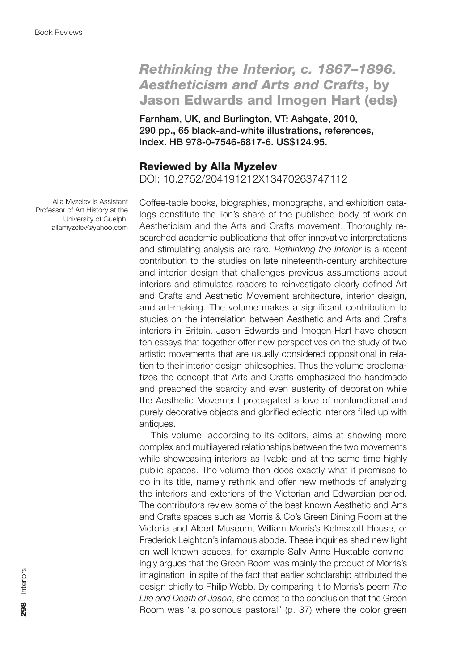## *Rethinking the Interior, c. 1867–1896. Aestheticism and Arts and Crafts***, by Jason Edwards and Imogen Hart (eds)**

**Farnham, UK, and Burlington, VT: Ashgate, 2010, 290 pp., 65 black-and-white illustrations, references, index. HB 978-0-7546-6817-6. US\$124.95.**

#### **Reviewed by Alla Myzelev**

DOI: 10.2752/204191212X13470263747112

Alla Myzelev is Assistant Professor of Art History at the University of Guelph. allamyzelev@yahoo.com

Coffee-table books, biographies, monographs, and exhibition catalogs constitute the lion's share of the published body of work on Aestheticism and the Arts and Crafts movement. Thoroughly researched academic publications that offer innovative interpretations and stimulating analysis are rare. *Rethinking the Interior* is a recent contribution to the studies on late nineteenth-century architecture and interior design that challenges previous assumptions about interiors and stimulates readers to reinvestigate clearly defined Art and Crafts and Aesthetic Movement architecture, interior design, and art-making. The volume makes a significant contribution to studies on the interrelation between Aesthetic and Arts and Crafts interiors in Britain. Jason Edwards and Imogen Hart have chosen ten essays that together offer new perspectives on the study of two artistic movements that are usually considered oppositional in relation to their interior design philosophies. Thus the volume problematizes the concept that Arts and Crafts emphasized the handmade and preached the scarcity and even austerity of decoration while the Aesthetic Movement propagated a love of nonfunctional and purely decorative objects and glorified eclectic interiors filled up with antiques. d stimulating analysis are rare. *Rethin*<br>tribution to the studies on late ninet<br>d interior design that challenges pre<br>priors and stimulates readers to reinv<br>d Crafts and Aesthetic Movement are<br>d art-making. The volume mak index. HB 978-0-7546-6817-6. US\$124.95.<br> **Reviewed by Alla Myzelev**<br>
DO: 10.2752/204191212X13470263747112<br>
DO: 10.2752/204191212X13470263747112<br>
method to solve the lubished force and the problem of the published body of w

This volume, according to its editors, aims at showing more complex and multilayered relationships between the two movements while showcasing interiors as livable and at the same time highly public spaces. The volume then does exactly what it promises to do in its title, namely rethink and offer new methods of analyzing the interiors and exteriors of the Victorian and Edwardian period. The contributors review some of the best known Aesthetic and Arts and Crafts spaces such as Morris & Co's Green Dining Room at the Victoria and Albert Museum, William Morris's Kelmscott House, or Frederick Leighton's infamous abode. These inquiries shed new light on well-known spaces, for example Sally-Anne Huxtable convincingly argues that the Green Room was mainly the product of Morris's imagination, in spite of the fact that earlier scholarship attributed the design chiefly to Philip Webb. By comparing it to Morris's poem *The Life and Death of Jason*, she comes to the conclusion that the Green Room was "a poisonous pastoral" (p. 37) where the color green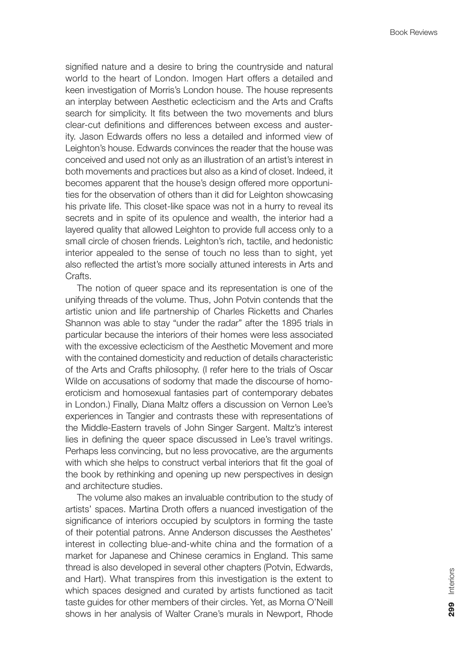signified nature and a desire to bring the countryside and natural world to the heart of London. Imogen Hart offers a detailed and keen investigation of Morris's London house. The house represents an interplay between Aesthetic eclecticism and the Arts and Crafts search for simplicity. It fits between the two movements and blurs clear-cut definitions and differences between excess and austerity. Jason Edwards offers no less a detailed and informed view of Leighton's house. Edwards convinces the reader that the house was conceived and used not only as an illustration of an artist's interest in both movements and practices but also as a kind of closet. Indeed, it becomes apparent that the house's design offered more opportunities for the observation of others than it did for Leighton showcasing his private life. This closet-like space was not in a hurry to reveal its secrets and in spite of its opulence and wealth, the interior had a layered quality that allowed Leighton to provide full access only to a small circle of chosen friends. Leighton's rich, tactile, and hedonistic interior appealed to the sense of touch no less than to sight, yet also reflected the artist's more socially attuned interests in Arts and Crafts.

The notion of queer space and its representation is one of the unifying threads of the volume. Thus, John Potvin contends that the artistic union and life partnership of Charles Ricketts and Charles Shannon was able to stay "under the radar" after the 1895 trials in particular because the interiors of their homes were less associated with the excessive eclecticism of the Aesthetic Movement and more with the contained domesticity and reduction of details characteristic of the Arts and Crafts philosophy. (I refer here to the trials of Oscar Wilde on accusations of sodomy that made the discourse of homoeroticism and homosexual fantasies part of contemporary debates in London.) Finally, Diana Maltz offers a discussion on Vernon Lee's experiences in Tangier and contrasts these with representations of the Middle-Eastern travels of John Singer Sargent. Maltz's interest lies in defining the queer space discussed in Lee's travel writings. Perhaps less convincing, but no less provocative, are the arguments with which she helps to construct verbal interiors that fit the goal of the book by rethinking and opening up new perspectives in design and architecture studies. mentaer Enginemental, tasting, and the sense of touch no less than to s<br>the sense of touch no less than to s<br>art's more socially attuned interests in<br>arty "under the radar" after the 1898<br>partnership of Charles Ricketts an V. associated with these allocations and minimal with values of the minimal with the constrained and used not only as a nilustration of an artistic interest in the minimal of the best ratios of the best ratios of the obser

The volume also makes an invaluable contribution to the study of artists' spaces. Martina Droth offers a nuanced investigation of the significance of interiors occupied by sculptors in forming the taste of their potential patrons. Anne Anderson discusses the Aesthetes' interest in collecting blue-and-white china and the formation of a market for Japanese and Chinese ceramics in England. This same thread is also developed in several other chapters (Potvin, Edwards, and Hart). What transpires from this investigation is the extent to which spaces designed and curated by artists functioned as tacit taste guides for other members of their circles. Yet, as Morna O'Neill shows in her analysis of Walter Crane's murals in Newport, Rhode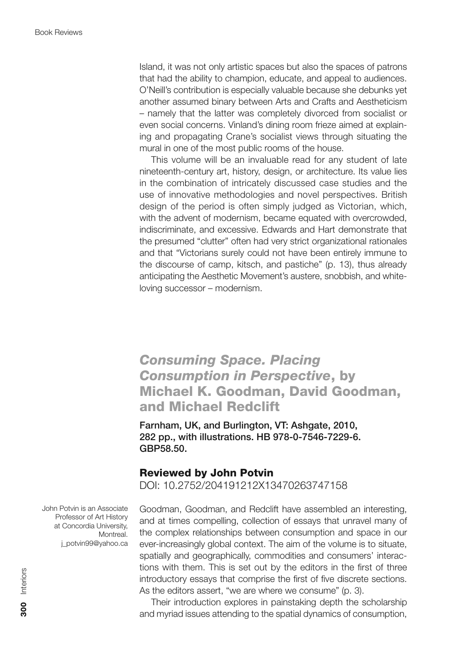Island, it was not only artistic spaces but also the spaces of patrons that had the ability to champion, educate, and appeal to audiences. O'Neill's contribution is especially valuable because she debunks yet another assumed binary between Arts and Crafts and Aestheticism – namely that the latter was completely divorced from socialist or even social concerns. Vinland's dining room frieze aimed at explaining and propagating Crane's socialist views through situating the mural in one of the most public rooms of the house.

This volume will be an invaluable read for any student of late nineteenth-century art, history, design, or architecture. Its value lies in the combination of intricately discussed case studies and the use of innovative methodologies and novel perspectives. British design of the period is often simply judged as Victorian, which, with the advent of modernism, became equated with overcrowded, indiscriminate, and excessive. Edwards and Hart demonstrate that the presumed "clutter" often had very strict organizational rationales and that "Victorians surely could not have been entirely immune to the discourse of camp, kitsch, and pastiche" (p. 13), thus already anticipating the Aesthetic Movement's austere, snobbish, and whiteloving successor – modernism. *A* that "Victorians surely could not have discourse of camp, kitsch, and pase icipating the Aesthetic Movement's auring successor – modernism. my alw propagating Usines's societies's societiest were involved in the summaris in one of the most public cones of the noting to the minimistering the minimistering the minimistering increases and for any students in the

## *Consuming Space. Placing Consumption in Perspective***, by Michael K. Goodman, David Goodman, and Michael Redclift**

**Farnham, UK, and Burlington, VT: Ashgate, 2010, 282 pp., with illustrations. HB 978-0-7546-7229-6. GBP58.50.**

#### **Reviewed by John Potvin**

DOI: 10.2752/204191212X13470263747158

John Potvin is an Associate Professor of Art History at Concordia University, Montreal. j\_potvin99@yahoo.ca

Goodman, Goodman, and Redclift have assembled an interesting, and at times compelling, collection of essays that unravel many of the complex relationships between consumption and space in our ever-increasingly global context. The aim of the volume is to situate, spatially and geographically, commodities and consumers' interactions with them. This is set out by the editors in the first of three introductory essays that comprise the first of five discrete sections. As the editors assert, "we are where we consume" (p. 3).

Their introduction explores in painstaking depth the scholarship and myriad issues attending to the spatial dynamics of consumption,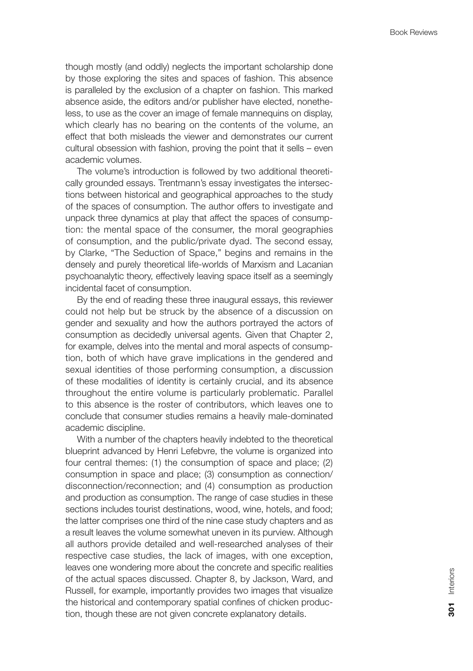though mostly (and oddly) neglects the important scholarship done by those exploring the sites and spaces of fashion. This absence is paralleled by the exclusion of a chapter on fashion. This marked absence aside, the editors and/or publisher have elected, nonetheless, to use as the cover an image of female mannequins on display, which clearly has no bearing on the contents of the volume, an effect that both misleads the viewer and demonstrates our current cultural obsession with fashion, proving the point that it sells – even academic volumes.

The volume's introduction is followed by two additional theoretically grounded essays. Trentmann's essay investigates the intersections between historical and geographical approaches to the study of the spaces of consumption. The author offers to investigate and unpack three dynamics at play that affect the spaces of consumption: the mental space of the consumer, the moral geographies of consumption, and the public/private dyad. The second essay, by Clarke, "The Seduction of Space," begins and remains in the densely and purely theoretical life-worlds of Marxism and Lacanian psychoanalytic theory, effectively leaving space itself as a seemingly incidental facet of consumption.

By the end of reading these three inaugural essays, this reviewer could not help but be struck by the absence of a discussion on gender and sexuality and how the authors portrayed the actors of consumption as decidedly universal agents. Given that Chapter 2, for example, delves into the mental and moral aspects of consumption, both of which have grave implications in the gendered and sexual identities of those performing consumption, a discussion of these modalities of identity is certainly crucial, and its absence throughout the entire volume is particularly problematic. Parallel to this absence is the roster of contributors, which leaves one to conclude that consumer studies remains a heavily male-dominated academic discipline. and primal space when the example of the example of the example of the effectively leaving space itself as a set sumption.<br>
In a ffectively leaving space itself as a set sumption.<br>
Ing these three inaugural essays, this<br>
e

With a number of the chapters heavily indebted to the theoretical blueprint advanced by Henri Lefebvre, the volume is organized into four central themes: (1) the consumption of space and place; (2) consumption in space and place; (3) consumption as connection/ disconnection/reconnection; and (4) consumption as production and production as consumption. The range of case studies in these sections includes tourist destinations, wood, wine, hotels, and food; the latter comprises one third of the nine case study chapters and as a result leaves the volume somewhat uneven in its purview. Although all authors provide detailed and well-researched analyses of their respective case studies, the lack of images, with one exception, leaves one wondering more about the concrete and specific realities of the actual spaces discussed. Chapter 8, by Jackson, Ward, and Russell, for example, importantly provides two images that visualize the historical and contemporary spatial confines of chicken production, though these are not given concrete explanatory details. Here that dominibises the wewer and derivative as on courter the constrained of the most associative columns. The volumns is the constraint of the space of constraints constrained assays. There is included assays in the ma